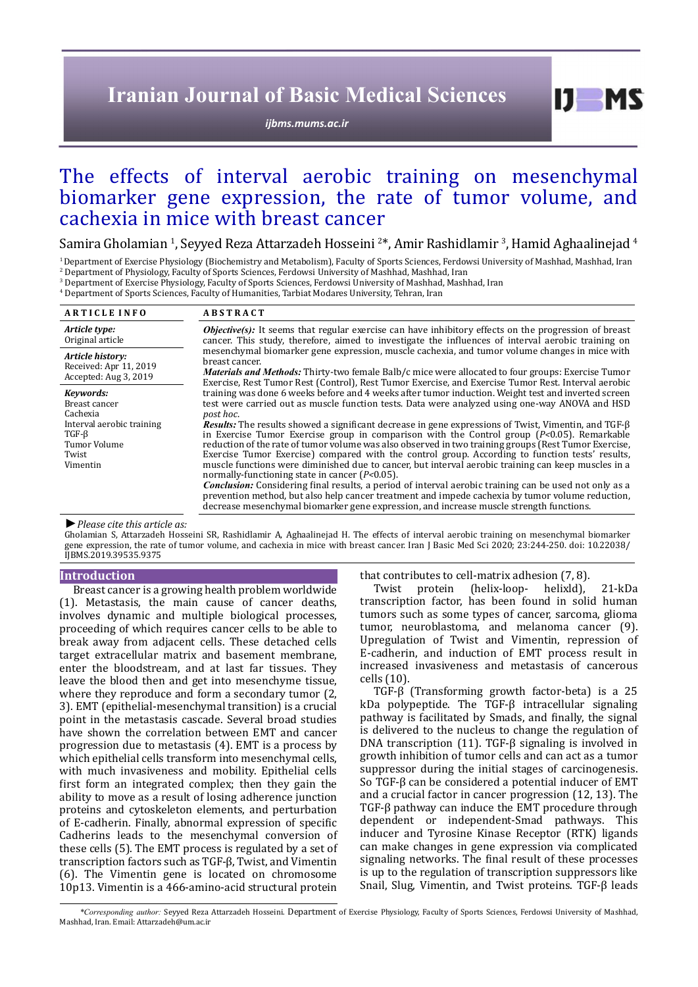# **Iranian Journal of Basic Medical Sciences**

*[ijbms.mums.ac.ir](http://ijbms.mums.ac.ir)*

# The effects of interval aerobic training on mesenchymal biomarker gene expression, the rate of tumor volume, and cachexia in mice with breast cancer

Samira Gholamian <sup>1</sup>, Seyyed Reza Attarzadeh Hosseini <sup>2</sup>\*, Amir Rashidlamir <sup>3</sup>, Hamid Aghaalinejad <sup>4</sup>

<sup>1</sup> Department of Exercise Physiology (Biochemistry and Metabolism), Faculty of Sports Sciences, Ferdowsi University of Mashhad, Mashhad, Iran

 $^2_\tau$  Department of Physiology, Faculty of Sports Sciences, Ferdowsi University of Mashhad, Mashhad, Iran

3 Department of Exercise Physiology, Faculty of Sports Sciences, Ferdowsi University of Mashhad, Mashhad, Iran 4 Department of Sports Sciences, Faculty of Humanities, Tarbiat Modares University, Tehran, Iran

| <b>ARTICLE INFO</b>                                                                                                     | <b>ABSTRACT</b>                                                                                                                                                                                                                                                                                                                                                                                                                                                                                                                                                                                                                                                                                                                                                                                                                                                                                                                   |  |  |  |
|-------------------------------------------------------------------------------------------------------------------------|-----------------------------------------------------------------------------------------------------------------------------------------------------------------------------------------------------------------------------------------------------------------------------------------------------------------------------------------------------------------------------------------------------------------------------------------------------------------------------------------------------------------------------------------------------------------------------------------------------------------------------------------------------------------------------------------------------------------------------------------------------------------------------------------------------------------------------------------------------------------------------------------------------------------------------------|--|--|--|
| Article type:<br>Original article                                                                                       | <b><i>Objective(s)</i></b> : It seems that regular exercise can have inhibitory effects on the progression of breast<br>cancer. This study, therefore, aimed to investigate the influences of interval aerobic training on                                                                                                                                                                                                                                                                                                                                                                                                                                                                                                                                                                                                                                                                                                        |  |  |  |
| Article history:<br>Received: Apr 11, 2019<br>Accepted: Aug 3, 2019                                                     | mesenchymal biomarker gene expression, muscle cachexia, and tumor volume changes in mice with<br>breast cancer.<br><i>Materials and Methods:</i> Thirty-two female Balb/c mice were allocated to four groups: Exercise Tumor<br>Exercise, Rest Tumor Rest (Control), Rest Tumor Exercise, and Exercise Tumor Rest. Interval aerobic                                                                                                                                                                                                                                                                                                                                                                                                                                                                                                                                                                                               |  |  |  |
| Kevwords:<br>Breast cancer<br>Cachexia<br>Interval aerobic training<br>$TGF-\beta$<br>Tumor Volume<br>Twist<br>Vimentin | training was done 6 weeks before and 4 weeks after tumor induction. Weight test and inverted screen<br>test were carried out as muscle function tests. Data were analyzed using one-way ANOVA and HSD<br>post hoc.<br><b>Results:</b> The results showed a significant decrease in gene expressions of Twist, Vimentin, and TGF- $\beta$<br>in Exercise Tumor Exercise group in comparison with the Control group $(P<0.05)$ . Remarkable<br>reduction of the rate of tumor volume was also observed in two training groups (Rest Tumor Exercise,<br>Exercise Tumor Exercise) compared with the control group. According to function tests' results,<br>muscle functions were diminished due to cancer, but interval aerobic training can keep muscles in a<br>normally-functioning state in cancer $(P<0.05)$ .<br><b>Conclusion:</b> Considering final results, a period of interval aerobic training can be used not only as a |  |  |  |
|                                                                                                                         | prevention method, but also help cancer treatment and impede cachexia by tumor volume reduction,<br>decrease mesenchymal biomarker gene expression, and increase muscle strength functions.                                                                                                                                                                                                                                                                                                                                                                                                                                                                                                                                                                                                                                                                                                                                       |  |  |  |

#### *►Please cite this article as:*

Gholamian S, Attarzadeh Hosseini SR, Rashidlamir A, Aghaalinejad H. The effects of interval aerobic training on mesenchymal biomarker gene expression, the rate of tumor volume, and cachexia in mice with breast cancer. Iran J Basic Med Sci 2020; 23:244-250. doi: 10.22038/ IJBMS.2019.39535.9375

#### **Introduction**

Breast cancer is a growing health problem worldwide (1). Metastasis, the main cause of cancer deaths, involves dynamic and multiple biological processes, proceeding of which requires cancer cells to be able to break away from adjacent cells. These detached cells target extracellular matrix and basement membrane, enter the bloodstream, and at last far tissues. They leave the blood then and get into mesenchyme tissue, where they reproduce and form a secondary tumor (2, 3). EMT (epithelial-mesenchymal transition) is a crucial point in the metastasis cascade. Several broad studies have shown the correlation between EMT and cancer progression due to metastasis (4). EMT is a process by which epithelial cells transform into mesenchymal cells, with much invasiveness and mobility. Epithelial cells first form an integrated complex; then they gain the ability to move as a result of losing adherence junction proteins and cytoskeleton elements, and perturbation of E-cadherin. Finally, abnormal expression of specific Cadherins leads to the mesenchymal conversion of these cells (5). The EMT process is regulated by a set of transcription factors such as TGF-β, Twist, and Vimentin (6). The Vimentin gene is located on chromosome 10p13. Vimentin is a 466-amino-acid structural protein

that contributes to cell-matrix adhesion (7, 8).<br>Twist protein (helix-loop- helixld).

(helix-loop- helixld), 21-kDa transcription factor, has been found in solid human tumors such as some types of cancer, sarcoma, glioma tumor, neuroblastoma, and melanoma cancer (9). Upregulation of Twist and Vimentin, repression of E-cadherin, and induction of EMT process result in increased invasiveness and metastasis of cancerous cells (10).

 $I$   $I$   $M$   $S$ 

TGF-β (Transforming growth factor-beta) is a 25 kDa polypeptide. The TGF-β intracellular signaling pathway is facilitated by Smads, and finally, the signal is delivered to the nucleus to change the regulation of DNA transcription (11). TGF-β signaling is involved in growth inhibition of tumor cells and can act as a tumor suppressor during the initial stages of carcinogenesis. So TGF-β can be considered a potential inducer of EMT and a crucial factor in cancer progression (12, 13). The TGF-β pathway can induce the EMT procedure through dependent or independent-Smad pathways. This inducer and Tyrosine Kinase Receptor (RTK) ligands can make changes in gene expression via complicated signaling networks. The final result of these processes is up to the regulation of transcription suppressors like Snail, Slug, Vimentin, and Twist proteins. TGF-β leads

 *\*Corresponding author:* Seyyed Reza Attarzadeh Hosseini. Department of Exercise Physiology, Faculty of Sports Sciences, Ferdowsi University of Mashhad, Mashhad, Iran. Email: Attarzadeh@um.ac.ir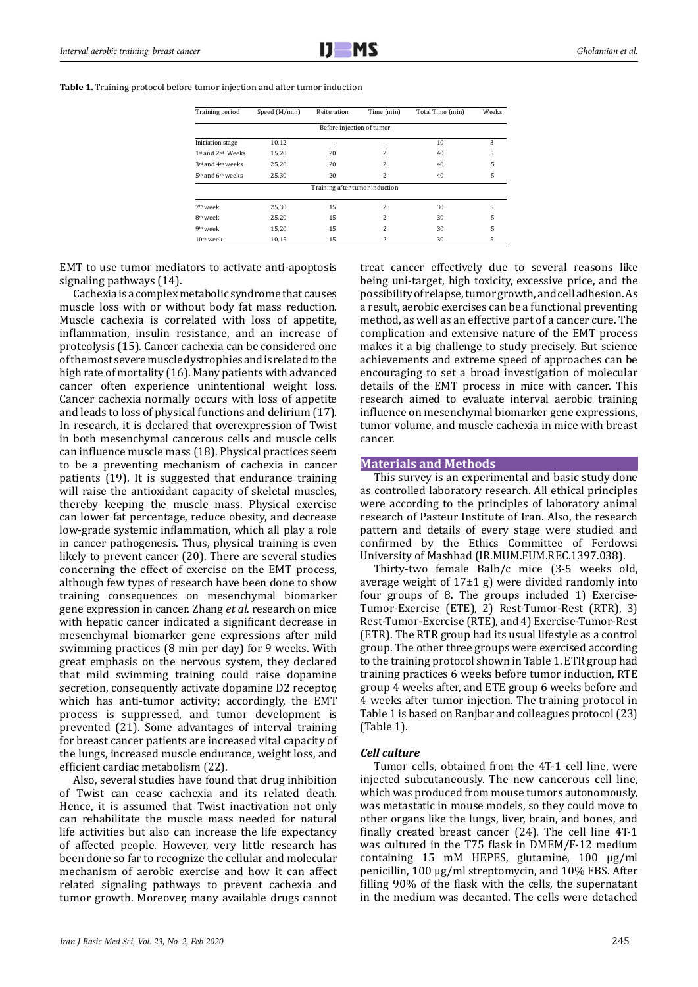**Table 1.** Training protocol before tumor injection and after tumor induction

| Speed (M/min)<br>Training period          |       | Reiteration                    | Time (min) | Total Time (min) | Weeks |
|-------------------------------------------|-------|--------------------------------|------------|------------------|-------|
|                                           |       | Before injection of tumor      |            |                  |       |
| Initiation stage                          | 10,12 | ٠                              |            | 10               | 3     |
| 1st and 2 <sup>nd</sup> Weeks<br>15,20    |       | 20                             | 2          | 40               | 5     |
| 3rd and 4 <sup>th</sup> weeks<br>25,20    |       | 20                             | 2          | 40               | 5     |
| 5 <sup>th</sup> and 6 <sup>th</sup> weeks | 25,30 | 20                             | 2          | 40               | 5     |
|                                           |       | Training after tumor induction |            |                  |       |
| 7 <sup>th</sup> week                      | 25,30 | 15                             | 2          | 30               | 5     |
| 8 <sup>th</sup> week                      | 25,20 | 15                             | 2          | 30               | 5     |
| 9 <sup>th</sup> week                      | 15,20 | 15                             | 2          | 30               | 5     |
| $10th$ week                               | 10,15 | 15                             | 2          | 30               | 5     |

EMT to use tumor mediators to activate anti-apoptosis signaling pathways (14).

Cachexia is a complex metabolic syndrome that causes muscle loss with or without body fat mass reduction. Muscle cachexia is correlated with loss of appetite, inflammation, insulin resistance, and an increase of proteolysis (15). Cancer cachexia can be considered one of the most severe muscle dystrophies and is related to the high rate of mortality (16). Many patients with advanced cancer often experience unintentional weight loss. Cancer cachexia normally occurs with loss of appetite and leads to loss of physical functions and delirium (17). In research, it is declared that overexpression of Twist in both mesenchymal cancerous cells and muscle cells can influence muscle mass (18). Physical practices seem to be a preventing mechanism of cachexia in cancer patients (19). It is suggested that endurance training will raise the antioxidant capacity of skeletal muscles, thereby keeping the muscle mass. Physical exercise can lower fat percentage, reduce obesity, and decrease low-grade systemic inflammation, which all play a role in cancer pathogenesis. Thus, physical training is even likely to prevent cancer (20). There are several studies concerning the effect of exercise on the EMT process, although few types of research have been done to show training consequences on mesenchymal biomarker gene expression in cancer. Zhang *et al.* research on mice with hepatic cancer indicated a significant decrease in mesenchymal biomarker gene expressions after mild swimming practices (8 min per day) for 9 weeks. With great emphasis on the nervous system, they declared that mild swimming training could raise dopamine secretion, consequently activate dopamine D2 receptor, which has anti-tumor activity; accordingly, the EMT process is suppressed, and tumor development is prevented (21). Some advantages of interval training for breast cancer patients are increased vital capacity of the lungs, increased muscle endurance, weight loss, and efficient cardiac metabolism (22).

Also, several studies have found that drug inhibition of Twist can cease cachexia and its related death. Hence, it is assumed that Twist inactivation not only can rehabilitate the muscle mass needed for natural life activities but also can increase the life expectancy of affected people. However, very little research has been done so far to recognize the cellular and molecular mechanism of aerobic exercise and how it can affect related signaling pathways to prevent cachexia and tumor growth. Moreover, many available drugs cannot treat cancer effectively due to several reasons like being uni-target, high toxicity, excessive price, and the possibility of relapse, tumor growth, and cell adhesion. As a result, aerobic exercises can be a functional preventing method, as well as an effective part of a cancer cure. The complication and extensive nature of the EMT process makes it a big challenge to study precisely. But science achievements and extreme speed of approaches can be encouraging to set a broad investigation of molecular details of the EMT process in mice with cancer. This research aimed to evaluate interval aerobic training influence on mesenchymal biomarker gene expressions, tumor volume, and muscle cachexia in mice with breast cancer.

#### **Materials and Methods**

This survey is an experimental and basic study done as controlled laboratory research. All ethical principles were according to the principles of laboratory animal research of Pasteur Institute of Iran. Also, the research pattern and details of every stage were studied and confirmed by the Ethics Committee of Ferdowsi University of Mashhad (IR.MUM.FUM.REC.1397.038).

Thirty-two female Balb/c mice (3-5 weeks old, average weight of  $17±1$  g) were divided randomly into four groups of 8. The groups included 1) Exercise-Tumor-Exercise (ETE), 2) Rest-Tumor-Rest (RTR), 3) Rest-Tumor-Exercise (RTE), and 4) Exercise-Tumor-Rest (ETR). The RTR group had its usual lifestyle as a control group. The other three groups were exercised according to the training protocol shown in Table 1. ETR group had training practices 6 weeks before tumor induction, RTE group 4 weeks after, and ETE group 6 weeks before and 4 weeks after tumor injection. The training protocol in Table 1 is based on Ranjbar and colleagues protocol (23) (Table 1).

## *Cell culture*

Tumor cells, obtained from the 4T-1 cell line, were injected subcutaneously. The new cancerous cell line, which was produced from mouse tumors autonomously, was metastatic in mouse models, so they could move to other organs like the lungs, liver, brain, and bones, and finally created breast cancer (24). The cell line 4T-1 was cultured in the T75 flask in DMEM/F-12 medium containing 15 mM HEPES, glutamine, 100 µg/ml penicillin, 100 µg/ml streptomycin, and 10% FBS. After filling 90% of the flask with the cells, the supernatant in the medium was decanted. The cells were detached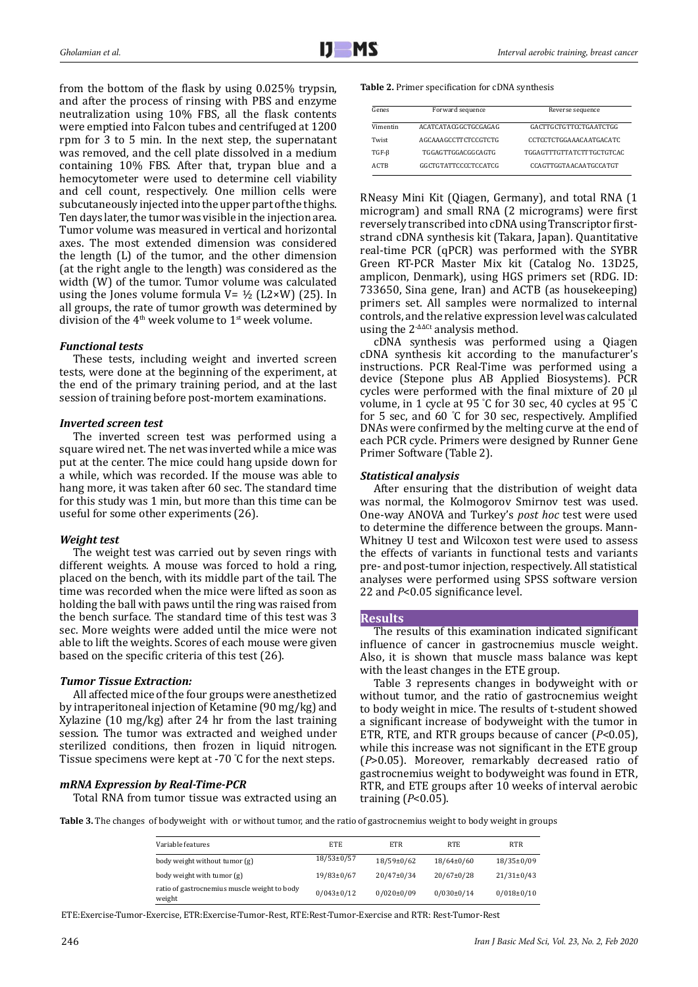from the bottom of the flask by using 0.025% trypsin, and after the process of rinsing with PBS and enzyme neutralization using 10% FBS, all the flask contents were emptied into Falcon tubes and centrifuged at 1200 rpm for 3 to 5 min. In the next step, the supernatant was removed, and the cell plate dissolved in a medium containing 10% FBS. After that, trypan blue and a hemocytometer were used to determine cell viability and cell count, respectively. One million cells were subcutaneously injected into the upper part of the thighs. Ten days later, the tumor was visible in the injection area. Tumor volume was measured in vertical and horizontal axes. The most extended dimension was considered the length (L) of the tumor, and the other dimension (at the right angle to the length) was considered as the width (W) of the tumor. Tumor volume was calculated using the Jones volume formula  $V = \frac{1}{2}$  (L2×W) (25). In all groups, the rate of tumor growth was determined by division of the  $4<sup>th</sup>$  week volume to  $1<sup>st</sup>$  week volume.

# *Functional tests*

These tests, including weight and inverted screen tests, were done at the beginning of the experiment, at the end of the primary training period, and at the last session of training before post-mortem examinations.

## *Inverted screen test*

The inverted screen test was performed using a square wired net. The net was inverted while a mice was put at the center. The mice could hang upside down for a while, which was recorded. If the mouse was able to hang more, it was taken after 60 sec. The standard time for this study was 1 min, but more than this time can be useful for some other experiments (26).

# *Weight test*

The weight test was carried out by seven rings with different weights. A mouse was forced to hold a ring, placed on the bench, with its middle part of the tail. The time was recorded when the mice were lifted as soon as holding the ball with paws until the ring was raised from the bench surface. The standard time of this test was 3 sec. More weights were added until the mice were not able to lift the weights. Scores of each mouse were given based on the specific criteria of this test (26).

# *Tumor Tissue Extraction:*

All affected mice of the four groups were anesthetized by intraperitoneal injection of Ketamine (90 mg/kg) and Xylazine (10 mg/kg) after 24 hr from the last training session. The tumor was extracted and weighed under sterilized conditions, then frozen in liquid nitrogen. Tissue specimens were kept at -70 ° C for the next steps.

# *mRNA Expression by Real-Time-PCR*

Total RNA from tumor tissue was extracted using an

#### **Table 2.** Primer specification for cDNA synthesis

| Genes       | Forward sequence          | Reverse sequence              |  |
|-------------|---------------------------|-------------------------------|--|
| Vimentin    | ACATCATACGGCTGCGAGAG      | GACTTGCTGTTCCTGAATCTGG        |  |
| Twist       | AGCAAAGCCTTCTCCGTCTG      | CCTCCTCTGGAAACAATGACATC       |  |
| $TGF-B$     | <b>TGGAGTTGGACGGCAGTG</b> | TGGAGTTTGTTATCTTTGCTGTCAC     |  |
| <b>ACTB</b> | GGCTGTATTCCCCTCCATCG      | <b>CCAGTTGGTAACAATGCCATGT</b> |  |

RNeasy Mini Kit (Qiagen, Germany), and total RNA (1 microgram) and small RNA (2 micrograms) were first reversely transcribed into cDNA using Transcriptor firststrand cDNA synthesis kit (Takara, Japan). Quantitative real-time PCR (qPCR) was performed with the SYBR Green RT-PCR Master Mix kit (Catalog No. 13D25, amplicon, Denmark), using HGS primers set (RDG. ID: 733650, Sina gene, Iran) and ACTB (as housekeeping) primers set. All samples were normalized to internal controls, and the relative expression level was calculated using the 2-∆∆Ct analysis method.

cDNA synthesis was performed using a Qiagen cDNA synthesis kit according to the manufacturer's instructions. PCR Real-Time was performed using a device (Stepone plus AB Applied Biosystems). PCR cycles were performed with the final mixture of 20 µl volume, in 1 cycle at 95 ° C for 30 sec, 40 cycles at 95 ° C for 5 sec, and 60 ° C for 30 sec, respectively. Amplified DNAs were confirmed by the melting curve at the end of each PCR cycle. Primers were designed by Runner Gene Primer Software (Table 2).

# *Statistical analysis*

After ensuring that the distribution of weight data was normal, the Kolmogorov Smirnov test was used. One-way ANOVA and Turkey's *post hoc* test were used to determine the difference between the groups. Mann-Whitney U test and Wilcoxon test were used to assess the effects of variants in functional tests and variants pre- and post-tumor injection, respectively. All statistical analyses were performed using SPSS software version 22 and *P*<0.05 significance level.

# **Results**

The results of this examination indicated significant influence of cancer in gastrocnemius muscle weight. Also, it is shown that muscle mass balance was kept with the least changes in the ETE group.

Table 3 represents changes in bodyweight with or without tumor, and the ratio of gastrocnemius weight to body weight in mice. The results of t-student showed a significant increase of bodyweight with the tumor in ETR, RTE, and RTR groups because of cancer (*P*<0.05), while this increase was not significant in the ETE group (*P*>0.05). Moreover, remarkably decreased ratio of gastrocnemius weight to bodyweight was found in ETR, RTR, and ETE groups after 10 weeks of interval aerobic training (*P*<0.05).

**Table 3.** The changes of bodyweight with or without tumor, and the ratio of gastrocnemius weight to body weight in groups

| Variable features                                      | <b>ETE</b>       | <b>ETR</b>       | <b>RTE</b>       | <b>RTR</b>       |
|--------------------------------------------------------|------------------|------------------|------------------|------------------|
| body weight without tumor (g)                          | $18/53 \pm 0/57$ | $18/59 \pm 0/62$ | $18/64 \pm 0/60$ | 18/35±0/09       |
| body weight with tumor (g)                             | 19/83±0/67       | $20/47 \pm 0/34$ | $20/67 \pm 0/28$ | $21/31 \pm 0/43$ |
| ratio of gastrocnemius muscle weight to body<br>weight | $0/043 \pm 0/12$ | $0/020 \pm 0/09$ | $0/030 \pm 0/14$ | $0/018 \pm 0/10$ |

ETE:Exercise-Tumor-Exercise, ETR:Exercise-Tumor-Rest, RTE:Rest-Tumor-Exercise and RTR: Rest-Tumor-Rest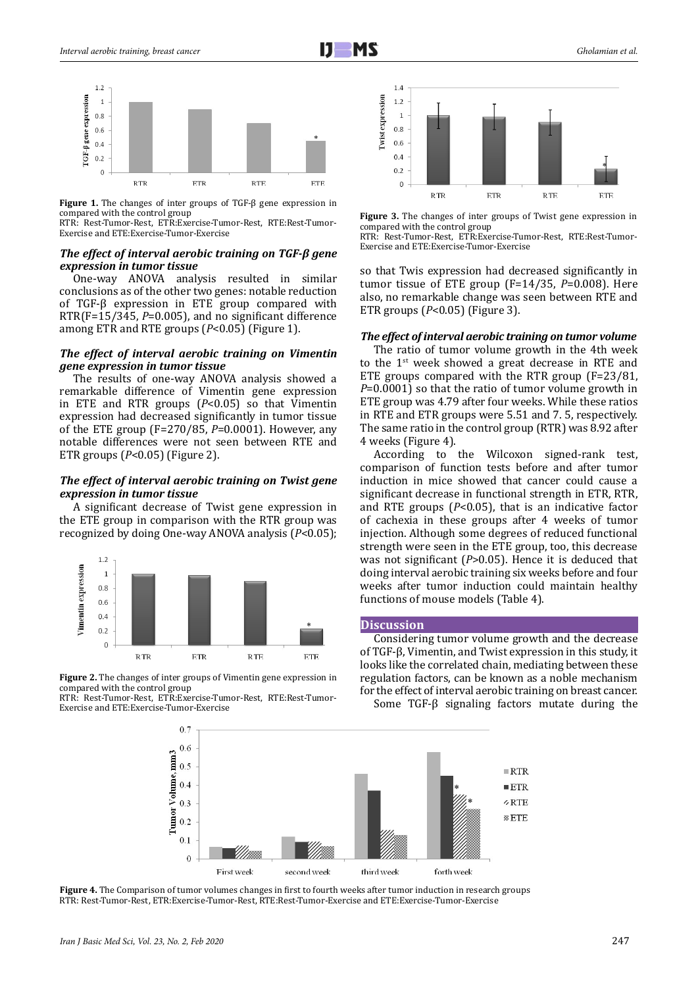

**Figure 1.** The changes of inter groups of TGF-β gene expression in compared with the control group

RTR: Rest-Tumor-Rest, ETR:Exercise-Tumor-Rest, RTE:Rest-Tumor-Exercise and ETE:Exercise-Tumor-Exercise

## *The effect of interval aerobic training on TGF-β gene expression in tumor tissue*

One-way ANOVA analysis resulted in similar conclusions as of the other two genes: notable reduction of TGF-β expression in ETE group compared with RTR(F=15/345, *P*=0.005), and no significant difference among ETR and RTE groups (*P*<0.05) (Figure 1).

#### *The effect of interval aerobic training on Vimentin gene expression in tumor tissue*

The results of one-way ANOVA analysis showed a remarkable difference of Vimentin gene expression in ETE and RTR groups (*P*<0.05) so that Vimentin expression had decreased significantly in tumor tissue of the ETE group (F=270/85, *P*=0.0001). However, any notable differences were not seen between RTE and ETR groups (*P*<0.05) (Figure 2).

## *The effect of interval aerobic training on Twist gene expression in tumor tissue*

A significant decrease of Twist gene expression in the ETE group in comparison with the RTR group was recognized by doing One-way ANOVA analysis (*P*<0.05);



**Figure 2.** The changes of inter groups of Vimentin gene expression in compared with the control group

RTR: Rest-Tumor-Rest, ETR:Exercise-Tumor-Rest, RTE:Rest-Tumor-Exercise and ETE:Exercise-Tumor-Exercise



**Figure 3.** The changes of inter groups of Twist gene expression in compared with the control group

RTR: Rest-Tumor-Rest, ETR:Exercise-Tumor-Rest, RTE:Rest-Tumor-Exercise and ETE:Exercise-Tumor-Exercise

so that Twis expression had decreased significantly in tumor tissue of ETE group (F=14/35, *P*=0.008). Here also, no remarkable change was seen between RTE and ETR groups (*P*<0.05) (Figure 3).

# *The effect of interval aerobic training on tumor volume*

The ratio of tumor volume growth in the 4th week to the  $1<sup>st</sup>$  week showed a great decrease in RTE and ETE groups compared with the RTR group (F=23/81, *P*=0.0001) so that the ratio of tumor volume growth in ETE group was 4.79 after four weeks. While these ratios in RTE and ETR groups were 5.51 and 7. 5, respectively. The same ratio in the control group (RTR) was 8.92 after 4 weeks (Figure 4).

According to the Wilcoxon signed-rank test, comparison of function tests before and after tumor induction in mice showed that cancer could cause a significant decrease in functional strength in ETR, RTR, and RTE groups (*P*<0.05), that is an indicative factor of cachexia in these groups after 4 weeks of tumor injection. Although some degrees of reduced functional strength were seen in the ETE group, too, this decrease was not significant (*P*>0.05). Hence it is deduced that doing interval aerobic training six weeks before and four weeks after tumor induction could maintain healthy functions of mouse models (Table 4).

## **Discussion**

Considering tumor volume growth and the decrease of TGF-β, Vimentin, and Twist expression in this study, it looks like the correlated chain, mediating between these regulation factors, can be known as a noble mechanism for the effect of interval aerobic training on breast cancer.

Some TGF-β signaling factors mutate during the



**Figure 4.** The Comparison of tumor volumes changes in first to fourth weeks after tumor induction in research groups RTR: Rest-Tumor-Rest, ETR:Exercise-Tumor-Rest, RTE:Rest-Tumor-Exercise and ETE:Exercise-Tumor-Exercise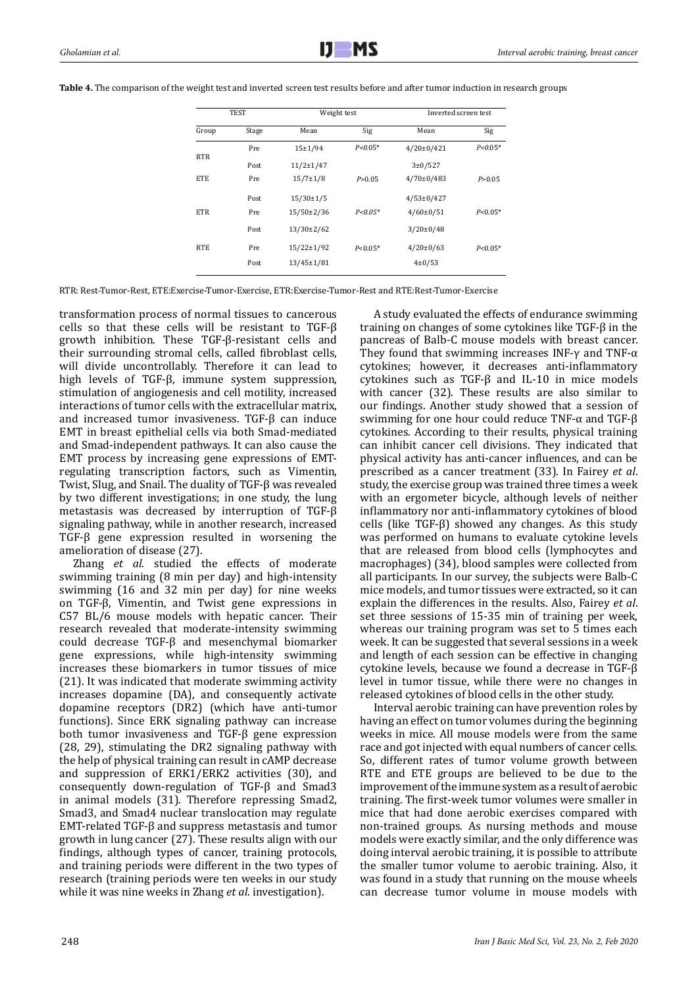| <b>TEST</b> |       | Weight test      |             | Inverted screen test |             |
|-------------|-------|------------------|-------------|----------------------|-------------|
| Group       | Stage | Mean             | Sig         | Mean                 | Sig         |
|             | Pre   | $15+1/94$        | $P < 0.05*$ | $4/20 \pm 0/421$     | $P < 0.05*$ |
| <b>RTR</b>  | Post  | $11/2 \pm 1/47$  |             | 3 ± 0 / 527          |             |
| <b>ETE</b>  | Pre   | $15/7 \pm 1/8$   | P > 0.05    | $4/70 \pm 0/483$     | P > 0.05    |
|             | Post  | 15/30±1/5        |             | $4/53 \pm 0/427$     |             |
| <b>ETR</b>  | Pre   | 15/50±2/36       | $P < 0.05*$ | $4/60 \pm 0/51$      | $P < 0.05*$ |
|             | Post  | $13/30 \pm 2/62$ |             | $3/20 \pm 0/48$      |             |
| <b>RTE</b>  | Pre   | $15/22 \pm 1/92$ | $P < 0.05*$ | $4/20 \pm 0/63$      | $P < 0.05*$ |
|             | Post  | 13/45±1/81       |             | $4 \pm 0/53$         |             |

**Table 4.** The comparison of the weight test and inverted screen test results before and after tumor induction in research groups

RTR: Rest-Tumor-Rest, ETE:Exercise-Tumor-Exercise, ETR:Exercise-Tumor-Rest and RTE:Rest-Tumor-Exercise

transformation process of normal tissues to cancerous cells so that these cells will be resistant to TGF-β growth inhibition. These TGF-β-resistant cells and their surrounding stromal cells, called fibroblast cells, will divide uncontrollably. Therefore it can lead to high levels of TGF-β, immune system suppression, stimulation of angiogenesis and cell motility, increased interactions of tumor cells with the extracellular matrix, and increased tumor invasiveness. TGF-β can induce EMT in breast epithelial cells via both Smad-mediated and Smad-independent pathways. It can also cause the EMT process by increasing gene expressions of EMTregulating transcription factors, such as Vimentin, Twist, Slug, and Snail. The duality of TGF-β was revealed by two different investigations; in one study, the lung metastasis was decreased by interruption of TGF-β signaling pathway, while in another research, increased TGF-β gene expression resulted in worsening the amelioration of disease (27).

Zhang *et al*. studied the effects of moderate swimming training (8 min per day) and high-intensity swimming (16 and 32 min per day) for nine weeks on TGF-β, Vimentin, and Twist gene expressions in C57 BL/6 mouse models with hepatic cancer. Their research revealed that moderate-intensity swimming could decrease TGF-β and mesenchymal biomarker gene expressions, while high-intensity swimming increases these biomarkers in tumor tissues of mice (21). It was indicated that moderate swimming activity increases dopamine (DA), and consequently activate dopamine receptors (DR2) (which have anti-tumor functions). Since ERK signaling pathway can increase both tumor invasiveness and TGF-β gene expression (28, 29), stimulating the DR2 signaling pathway with the help of physical training can result in cAMP decrease and suppression of ERK1/ERK2 activities (30), and consequently down-regulation of TGF-β and Smad3 in animal models (31). Therefore repressing Smad2, Smad3, and Smad4 nuclear translocation may regulate EMT-related TGF-β and suppress metastasis and tumor growth in lung cancer (27). These results align with our findings, although types of cancer, training protocols, and training periods were different in the two types of research (training periods were ten weeks in our study while it was nine weeks in Zhang *et al*. investigation).

A study evaluated the effects of endurance swimming training on changes of some cytokines like TGF-β in the pancreas of Balb-C mouse models with breast cancer. They found that swimming increases INF- $\gamma$  and TNF- $\alpha$ cytokines; however, it decreases anti-inflammatory cytokines such as TGF-β and IL-10 in mice models with cancer (32). These results are also similar to our findings. Another study showed that a session of swimming for one hour could reduce TNF-α and TGF-β cytokines. According to their results, physical training can inhibit cancer cell divisions. They indicated that physical activity has anti-cancer influences, and can be prescribed as a cancer treatment (33). In Fairey *et al*. study, the exercise group was trained three times a week with an ergometer bicycle, although levels of neither inflammatory nor anti-inflammatory cytokines of blood cells (like TGF-β) showed any changes. As this study was performed on humans to evaluate cytokine levels that are released from blood cells (lymphocytes and macrophages) (34), blood samples were collected from all participants. In our survey, the subjects were Balb-C mice models, and tumor tissues were extracted, so it can explain the differences in the results. Also, Fairey *et al*. set three sessions of 15-35 min of training per week, whereas our training program was set to  $5$  times each week. It can be suggested that several sessions in a week and length of each session can be effective in changing cytokine levels, because we found a decrease in TGF-β level in tumor tissue, while there were no changes in released cytokines of blood cells in the other study.

Interval aerobic training can have prevention roles by having an effect on tumor volumes during the beginning weeks in mice. All mouse models were from the same race and got injected with equal numbers of cancer cells. So, different rates of tumor volume growth between RTE and ETE groups are believed to be due to the improvement of the immune system as a result of aerobic training. The first-week tumor volumes were smaller in mice that had done aerobic exercises compared with non-trained groups. As nursing methods and mouse models were exactly similar, and the only difference was doing interval aerobic training, it is possible to attribute the smaller tumor volume to aerobic training. Also, it was found in a study that running on the mouse wheels can decrease tumor volume in mouse models with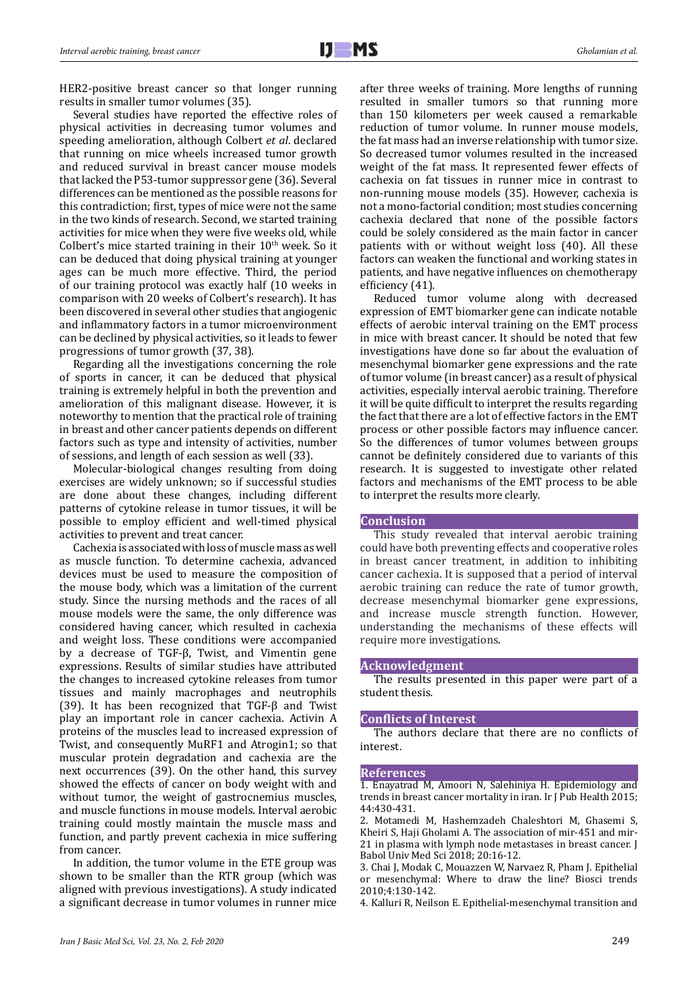HER2-positive breast cancer so that longer running results in smaller tumor volumes (35).

Several studies have reported the effective roles of physical activities in decreasing tumor volumes and speeding amelioration, although Colbert *et al*. declared that running on mice wheels increased tumor growth and reduced survival in breast cancer mouse models that lacked the P53-tumor suppressor gene (36). Several differences can be mentioned as the possible reasons for this contradiction; first, types of mice were not the same in the two kinds of research. Second, we started training activities for mice when they were five weeks old, while Colbert's mice started training in their  $10<sup>th</sup>$  week. So it can be deduced that doing physical training at younger ages can be much more effective. Third, the period of our training protocol was exactly half (10 weeks in comparison with 20 weeks of Colbert's research). It has been discovered in several other studies that angiogenic and inflammatory factors in a tumor microenvironment can be declined by physical activities, so it leads to fewer progressions of tumor growth (37, 38).

Regarding all the investigations concerning the role of sports in cancer, it can be deduced that physical training is extremely helpful in both the prevention and amelioration of this malignant disease. However, it is noteworthy to mention that the practical role of training in breast and other cancer patients depends on different factors such as type and intensity of activities, number of sessions, and length of each session as well (33).

Molecular-biological changes resulting from doing exercises are widely unknown; so if successful studies are done about these changes, including different patterns of cytokine release in tumor tissues, it will be possible to employ efficient and well-timed physical activities to prevent and treat cancer.

Cachexia is associated with loss of muscle mass as well as muscle function. To determine cachexia, advanced devices must be used to measure the composition of the mouse body, which was a limitation of the current study. Since the nursing methods and the races of all mouse models were the same, the only difference was considered having cancer, which resulted in cachexia and weight loss. These conditions were accompanied by a decrease of TGF-β, Twist, and Vimentin gene expressions. Results of similar studies have attributed the changes to increased cytokine releases from tumor tissues and mainly macrophages and neutrophils (39). It has been recognized that TGF-β and Twist play an important role in cancer cachexia. Activin A proteins of the muscles lead to increased expression of Twist, and consequently MuRF1 and Atrogin1; so that muscular protein degradation and cachexia are the next occurrences (39). On the other hand, this survey showed the effects of cancer on body weight with and without tumor, the weight of gastrocnemius muscles, and muscle functions in mouse models. Interval aerobic training could mostly maintain the muscle mass and function, and partly prevent cachexia in mice suffering from cancer.

In addition, the tumor volume in the ETE group was shown to be smaller than the RTR group (which was aligned with previous investigations). A study indicated a significant decrease in tumor volumes in runner mice

after three weeks of training. More lengths of running resulted in smaller tumors so that running more than 150 kilometers per week caused a remarkable reduction of tumor volume. In runner mouse models, the fat mass had an inverse relationship with tumor size. So decreased tumor volumes resulted in the increased weight of the fat mass. It represented fewer effects of cachexia on fat tissues in runner mice in contrast to non-running mouse models (35). However, cachexia is not a mono-factorial condition; most studies concerning cachexia declared that none of the possible factors could be solely considered as the main factor in cancer patients with or without weight loss (40). All these factors can weaken the functional and working states in patients, and have negative influences on chemotherapy efficiency (41).

Reduced tumor volume along with decreased expression of EMT biomarker gene can indicate notable effects of aerobic interval training on the EMT process in mice with breast cancer. It should be noted that few investigations have done so far about the evaluation of mesenchymal biomarker gene expressions and the rate of tumor volume (in breast cancer) as a result of physical activities, especially interval aerobic training. Therefore it will be quite difficult to interpret the results regarding the fact that there are a lot of effective factors in the EMT process or other possible factors may influence cancer. So the differences of tumor volumes between groups cannot be definitely considered due to variants of this research. It is suggested to investigate other related factors and mechanisms of the EMT process to be able to interpret the results more clearly.

#### **Conclusion**

This study revealed that interval aerobic training could have both preventing effects and cooperative roles in breast cancer treatment, in addition to inhibiting cancer cachexia. It is supposed that a period of interval aerobic training can reduce the rate of tumor growth, decrease mesenchymal biomarker gene expressions, and increase muscle strength function. However, understanding the mechanisms of these effects will require more investigations.

#### **Acknowledgment**

The results presented in this paper were part of a student thesis.

#### **Conflicts of Interest**

The authors declare that there are no conflicts of interest.

#### **References**

1. Enayatrad M, Amoori N, Salehiniya H. Epidemiology and trends in breast cancer mortality in iran. Ir J Pub Health 2015; 44:430-431.

2. Motamedi M, Hashemzadeh Chaleshtori M, Ghasemi S, Kheiri S, Haji Gholami A. The association of mir-451 and mir-21 in plasma with lymph node metastases in breast cancer. J Babol Univ Med Sci 2018; 20:16-12.

3. Chai J, Modak C, Mouazzen W, Narvaez R, Pham J. Epithelial or mesenchymal: Where to draw the line? Biosci trends 2010;4:130-142.

4. Kalluri R, Neilson E. Epithelial-mesenchymal transition and